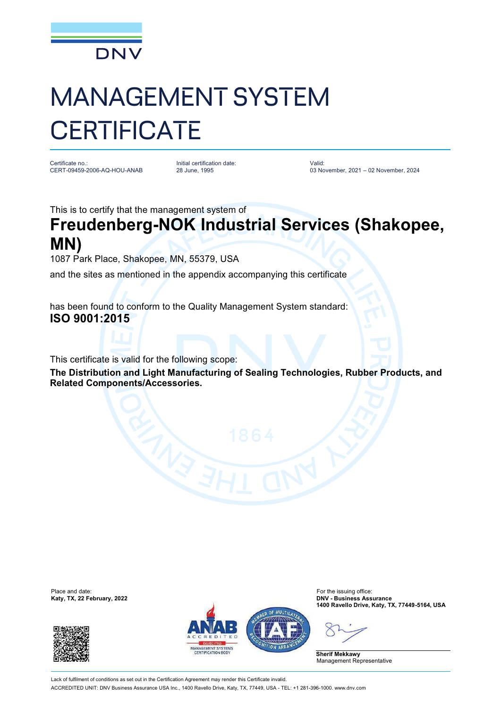

## MANAGEMENT SYSTEM **CERTIFICATE**

Certificate no.: CERT-09459-2006-AQ-HOU-ANAB Initial certification date: 28 June, 1995

Valid: 03 November, 2021 – 02 November, 2024

This is to certify that the management system of

## **Freudenberg-NOK Industrial Services (Shakopee, MN)**

1087 Park Place, Shakopee, MN, 55379, USA

and the sites as mentioned in the appendix accompanying this certificate

has been found to conform to the Quality Management System standard: **ISO 9001:2015**

This certificate is valid for the following scope:

**The Distribution and Light Manufacturing of Sealing Technologies, Rubber Products, and Related Components/Accessories.**







**1400 Ravello Drive, Katy, TX, 77449-5164, USA**

**Sherif Mekkawy** Management Representative

Lack of fulfilment of conditions as set out in the Certification Agreement may render this Certificate invalid. ACCREDITED UNIT: DNV Business Assurance USA Inc., 1400 Ravello Drive, Katy, TX, 77449, USA - TEL: +1 281-396-1000. [www.dnv.com](http://www.dnv.com)